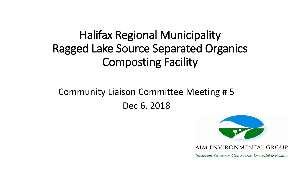## Halifax Regional Municipality Ragged Lake Source Separated Organics Composting Facility

Community Liaison Committee Meeting # 5 Dec 6, 2018



Intelligent Strategies. One Source. Dependable Results.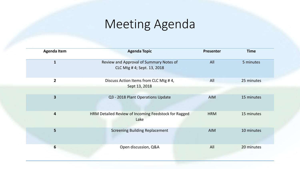# Meeting Agenda

| <b>Agenda Item</b>      | <b>Agenda Topic</b>                                                    | <b>Presenter</b> | <b>Time</b> |  |
|-------------------------|------------------------------------------------------------------------|------------------|-------------|--|
| $\mathbf{1}$            | Review and Approval of Summary Notes of<br>CLC Mtg # 4; Sept. 13, 2018 | All              | 5 minutes   |  |
| $\overline{2}$          | Discuss Action Items from CLC Mtg #4,<br>Sept 13, 2018                 | All              | 25 minutes  |  |
| $\overline{\mathbf{3}}$ | Q3 - 2018 Plant Operations Update                                      | <b>AIM</b>       | 15 minutes  |  |
| $\overline{\mathbf{4}}$ | HRM Detailed Review of Incoming Feedstock for Ragged<br>Lake           | <b>HRM</b>       | 15 minutes  |  |
| 5                       | <b>Screening Building Replacement</b>                                  | <b>AIM</b>       | 10 minutes  |  |
| $6\phantom{1}6$         | Open discussion, Q&A                                                   | All              | 20 minutes  |  |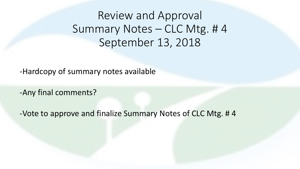Review and Approval Summary Notes – CLC Mtg. # 4 September 13, 2018

-Hardcopy of summary notes available

-Any final comments?

-Vote to approve and finalize Summary Notes of CLC Mtg. # 4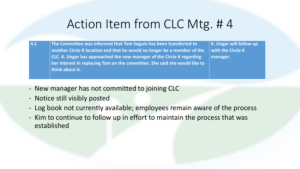**4.1 The Committee was informed that Tom Seguin has been transferred to another Circle K location and that he would no longer be a member of the CLC. K. Ungar has approached the new manager of the Circle K regarding her interest in replacing Tom on the committee. She said she would like to think about it.** 

**K. Ungar will follow up with the Circle K manager.**

- New manager has not committed to joining CLC
- Notice still visibly posted
- Log book not currently available; employees remain aware of the process
- Kim to continue to follow up in effort to maintain the process that was established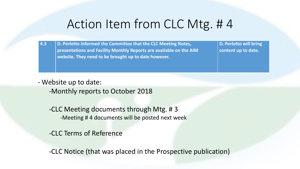**4.3 D. Perlotto informed the Committee that the CLC Meeting Notes, presentations and Facility Monthly Reports are available on the AIM website. They need to be brought up to date however.** 

**D. Perlotto will bring content up to date.**

- Website up to date:

-Monthly reports to October 2018

-CLC Meeting documents through Mtg. # 3 -Meeting # 4 documents will be posted next week

-CLC Terms of Reference

-CLC Notice (that was placed in the Prospective publication)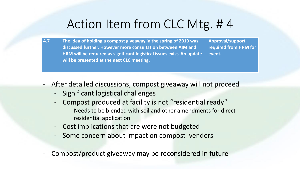**4.7 The idea of holding a compost giveaway in the spring of 2019 was discussed further. However more consultation between AIM and HRM will be required as significant logistical issues exist. An update will be presented at the next CLC meeting.** 

**Approval/support required from HRM for event.**

- After detailed discussions, compost giveaway will not proceed
	- Significant logistical challenges
	- Compost produced at facility is not "residential ready"
		- Needs to be blended with soil and other amendments for direct residential application
	- Cost implications that are were not budgeted
	- Some concern about impact on compost vendors
- Compost/product giveaway may be reconsidered in future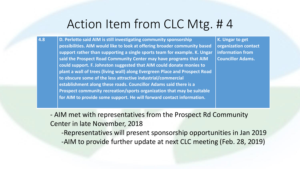**4.8 D. Perlotto said AIM is still investigating community sponsorship possibilities. AIM would like to look at offering broader community based support rather than supporting a single sports team for example. K. Ungar said the Prospect Road Community Center may have programs that AIM could support. F. Johnston suggested that AIM could donate monies to plant a wall of trees (living wall) along Evergreen Place and Prospect Road to obscure some of the less attractive industrial/commercial establishment along these roads. Councillor Adams said there is a Prospect community recreation/sports organization that may be suitable for AIM to provide some support. He will forward contact information.** 

**K. Ungar to get organization contact information from Councillor Adams.**

- AIM met with representatives from the Prospect Rd Community Center in late November, 2018

-Representatives will present sponsorship opportunities in Jan 2019 -AIM to provide further update at next CLC meeting (Feb. 28, 2019)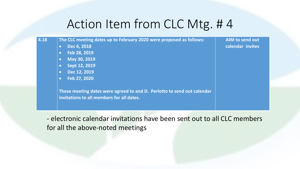- **4.18 The CLC meeting dates up to February 2020 were proposed as follows:**
	- **Dec 6, 2018**
	- **Feb 28, 2019**
	- **May 30, 2019**
	- **Sept 12, 2019**
	- **Dec 12, 2019**
	- **Feb 27, 2020**

**These meeting dates were agreed to and D. Perlotto to send out calendar invitations to all members for all dates.** 

**AIM to send out calendar invites**

- electronic calendar invitations have been sent out to all CLC members for all the above-noted meetings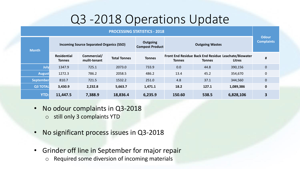# Q3 -2018 Operations Update

| <b>PROCESSING STATISTICS - 2018</b> |                                                 |                             |                     |                                           |                        |               |                                                                       |                                   |
|-------------------------------------|-------------------------------------------------|-----------------------------|---------------------|-------------------------------------------|------------------------|---------------|-----------------------------------------------------------------------|-----------------------------------|
| <b>Month</b>                        | <b>Incoming Source Separated Organics (SSO)</b> |                             |                     | <b>Outgoing</b><br><b>Compost Product</b> | <b>Outgoing Wastes</b> |               |                                                                       | <b>Odour</b><br><b>Complaints</b> |
|                                     | <b>Residential</b><br>Tonnes                    | Commercial/<br>mulit-tenant | <b>Total Tonnes</b> | <b>Tonnes</b>                             | <b>Tonnes</b>          | <b>Tonnes</b> | Front End Residue Back End Residue Leachate/Biowater<br><b>Litres</b> | $\pmb{\sharp}$                    |
| July                                | 1347.9                                          | 725.1                       | 2073.0              | 733.9                                     | 0.0                    | 44.8          | 390,156                                                               | $\pmb{0}$                         |
| <b>August</b>                       | 1272.3                                          | 786.2                       | 2058.5              | 486.2                                     | 13.4                   | 45.2          | 354,670                                                               | $\pmb{0}$                         |
| <b>September</b>                    | 810.7                                           | 721.5                       | 1532.2              | 251.0                                     | 4.8                    | 37.1          | 344,560                                                               | $\mathbf 0$                       |
| <b>Q3 TOTAL</b>                     | 3,430.9                                         | 2,232.8                     | 5,663.7             | 1,471.1                                   | 18.2                   | 127.1         | 1,089,386                                                             | $\mathbf 0$                       |
| <b>YTD:</b>                         | 11,447.5                                        | 7,388.9                     | 18,836.4            | 6,235.9                                   | 150.60                 | 538.5         | 6,828,106                                                             | 3                                 |

- No odour complaints in Q3-2018
	- o still only 3 complaints YTD
- No significant process issues in Q3-2018
- Grinder off line in September for major repair
	- o Required some diversion of incoming materials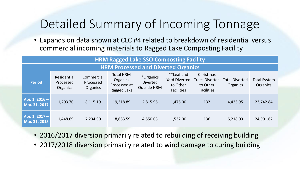# Detailed Summary of Incoming Tonnage

• Expands on data shown at CLC #4 related to breakdown of residential versus commercial incoming materials to Ragged Lake Composting Facility

| <b>HRM Ragged Lake SSO Composting Facility</b> |                                      |                                     |                                                             |                                                    |                                                                     |                                                                     |                                   |                                 |
|------------------------------------------------|--------------------------------------|-------------------------------------|-------------------------------------------------------------|----------------------------------------------------|---------------------------------------------------------------------|---------------------------------------------------------------------|-----------------------------------|---------------------------------|
| <b>HRM Processed and Diverted Organics</b>     |                                      |                                     |                                                             |                                                    |                                                                     |                                                                     |                                   |                                 |
| <b>Period</b>                                  | Residential<br>Processed<br>Organics | Commercial<br>Processed<br>Organics | <b>Total HRM</b><br>Organics<br>Processed at<br>Ragged Lake | *Organics<br><b>Diverted</b><br><b>Outside HRM</b> | **Leaf and<br><b>Yard Diverted</b><br>to Other<br><b>Facilities</b> | Christmas<br><b>Trees Diverted</b><br>to Other<br><b>Facilities</b> | <b>Total Diverted</b><br>Organics | <b>Total System</b><br>Organics |
| Apr. 1, 2016 -<br>Mar. 31, 2017                | 11,203.70                            | 8,115.19                            | 19,318.89                                                   | 2,815.95                                           | 1,476.00                                                            | 132                                                                 | 4,423.95                          | 23,742.84                       |
| Apr. 1, 2017 -<br>Mar. 31, 2018                | 11,448.69                            | 7,234.90                            | 18,683.59                                                   | 4,550.03                                           | 1,532.00                                                            | 136                                                                 | 6,218.03                          | 24,901.62                       |

- 2016/2017 diversion primarily related to rebuilding of receiving building
- 2017/2018 diversion primarily related to wind damage to curing building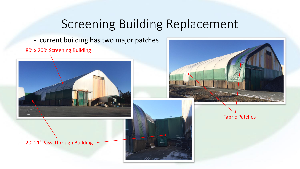### Screening Building Replacement

- current building has two major patches

80' x 200' Screening Building





20' 21' Pass-Through Building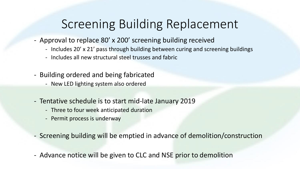# Screening Building Replacement

- Approval to replace 80' x 200' screening building received
	- Includes 20' x 21' pass through building between curing and screening buildings
	- Includes all new structural steel trusses and fabric
- Building ordered and being fabricated
	- New LED lighting system also ordered
- Tentative schedule is to start mid-late January 2019
	- Three to four week anticipated duration
	- Permit process is underway
- Screening building will be emptied in advance of demolition/construction
- Advance notice will be given to CLC and NSE prior to demolition